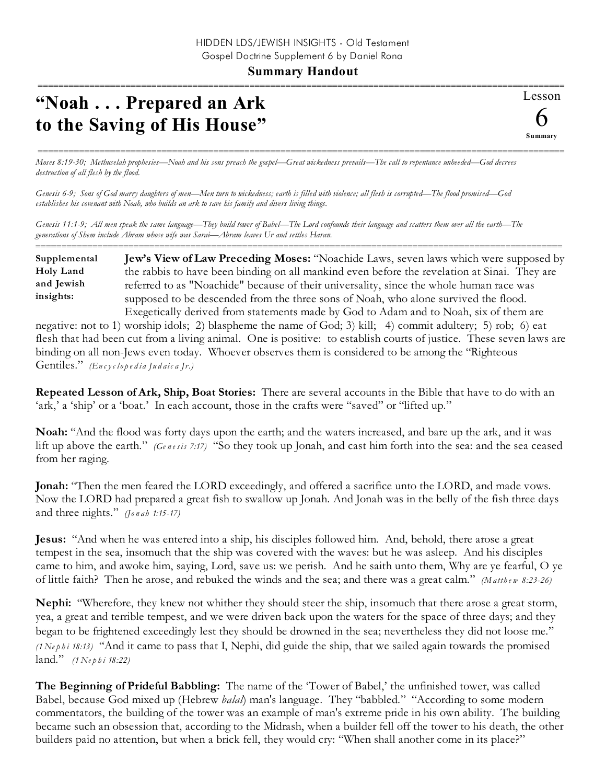## **Summary Handout**

======================================================================================================

## **"Noah . . . Prepared an Ark to the Saving of His House"**

Lesson 6 ======================================================================================================

**Summary**

*Moses 8:19-30; Methuselah prophesies—Noah and his sons preach the gospel—Great wickedness prevails—The call to repentance unheeded—God decrees destruction of all flesh by the flood.*

*Genesis 6-9; Sons of God marry daughters of men—Men turn to wickedness; earth is filled with violence; all flesh is corrupted—The flood promised—God establishes his covenant with Noah, who builds an ark to save his family and divers living things.*

*Genesis 11:1-9; All men speak the same language—They build tower of Babel—The Lord confounds their language and scatters them over all the earth—The generations of Shem include Abram whose wife was Sarai—Abram leaves Ur and settles Haran.*

====================================================================================================== **Jew's View of Law Preceding Moses:** "Noachide Laws, seven laws which were supposed by the rabbis to have been binding on all mankind even before the revelation at Sinai. They are referred to as "Noachide" because of their universality, since the whole human race was supposed to be descended from the three sons of Noah, who alone survived the flood. Exegetically derived from statements made by God to Adam and to Noah, six of them are **Supplemental Holy Land and Jewish insights:**

negative: not to 1) worship idols; 2) blaspheme the name of God; 3) kill; 4) commit adultery; 5) rob; 6) eat flesh that had been cut from a living animal. One is positive: to establish courts of justice. These seven laws are binding on all non-Jews even today. Whoever observes them is considered to be among the "Righteous Gentiles." *(En c yc lo p e d i a Ju d aic a Jr.)*

**Repeated Lesson of Ark, Ship, Boat Stories:** There are several accounts in the Bible that have to do with an 'ark,' a 'ship' or a 'boat.' In each account, those in the crafts were "saved" or "lifted up."

**Noah:** "And the flood was forty days upon the earth; and the waters increased, and bare up the ark, and it was lift up above the earth." *(Genesis 7:17)* "So they took up Jonah, and cast him forth into the sea: and the sea ceased from her raging.

**Jonah:** "Then the men feared the LORD exceedingly, and offered a sacrifice unto the LORD, and made vows. Now the LORD had prepared a great fish to swallow up Jonah. And Jonah was in the belly of the fish three days and three nights." *(Jo n ah 1:15-17)*

**Jesus:** "And when he was entered into a ship, his disciples followed him. And, behold, there arose a great tempest in the sea, insomuch that the ship was covered with the waves: but he was asleep. And his disciples came to him, and awoke him, saying, Lord, save us: we perish. And he saith unto them, Why are ye fearful, O ye of little faith? Then he arose, and rebuked the winds and the sea; and there was a great calm." *(M atth e w 8:23-26)* 

**Nephi:** "Wherefore, they knew not whither they should steer the ship, insomuch that there arose a great storm, yea, a great and terrible tempest, and we were driven back upon the waters for the space of three days; and they began to be frightened exceedingly lest they should be drowned in the sea; nevertheless they did not loose me." *(1 Ne p h i 18:13)* "And it came to pass that I, Nephi, did guide the ship, that we sailed again towards the promised land." *(1 Ne p h i 18:22)*

**The Beginning of Prideful Babbling:** The name of the 'Tower of Babel,' the unfinished tower, was called Babel, because God mixed up (Hebrew *balal*) man's language. They "babbled." "According to some modern commentators, the building of the tower was an example of man's extreme pride in his own ability. The building became such an obsession that, according to the Midrash, when a builder fell off the tower to his death, the other builders paid no attention, but when a brick fell, they would cry: "When shall another come in its place?"